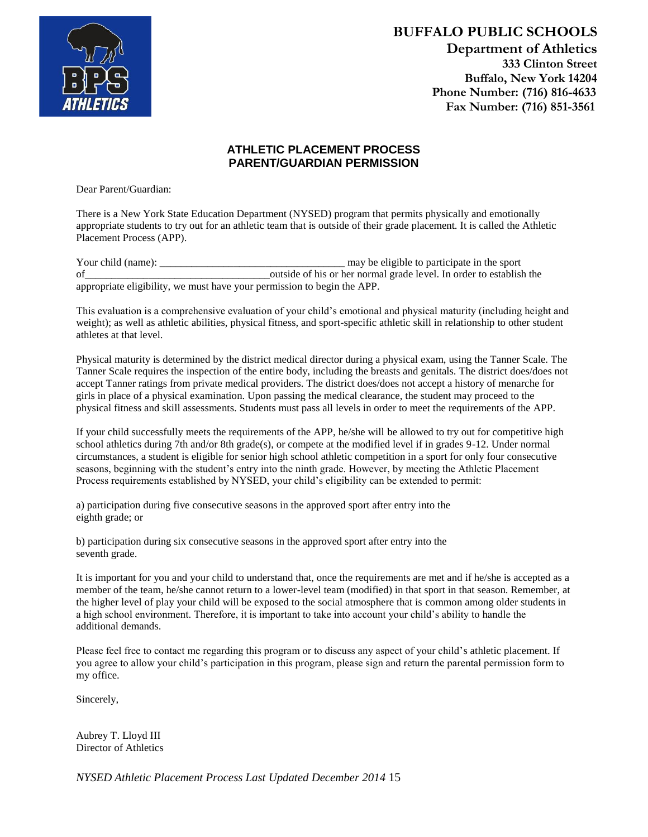

**BUFFALO PUBLIC SCHOOLS Department of Athletics 333 Clinton Street Buffalo, New York 14204 Phone Number: (716) 816-4633 Fax Number: (716) 851-3561**

## **ATHLETIC PLACEMENT PROCESS PARENT/GUARDIAN PERMISSION**

Dear Parent/Guardian:

There is a New York State Education Department (NYSED) program that permits physically and emotionally appropriate students to try out for an athletic team that is outside of their grade placement. It is called the Athletic Placement Process (APP).

Your child (name): \_\_\_\_\_\_\_\_\_\_\_\_\_\_\_\_\_\_\_\_\_\_\_\_\_\_\_\_\_\_\_\_\_\_\_ may be eligible to participate in the sport of\_\_\_\_\_\_\_\_\_\_\_\_\_\_\_\_\_\_\_\_\_\_\_\_\_\_\_\_\_\_\_\_\_\_\_outside of his or her normal grade level. In order to establish the appropriate eligibility, we must have your permission to begin the APP.

This evaluation is a comprehensive evaluation of your child's emotional and physical maturity (including height and weight); as well as athletic abilities, physical fitness, and sport-specific athletic skill in relationship to other student athletes at that level.

Physical maturity is determined by the district medical director during a physical exam, using the Tanner Scale. The Tanner Scale requires the inspection of the entire body, including the breasts and genitals. The district does/does not accept Tanner ratings from private medical providers. The district does/does not accept a history of menarche for girls in place of a physical examination. Upon passing the medical clearance, the student may proceed to the physical fitness and skill assessments. Students must pass all levels in order to meet the requirements of the APP.

If your child successfully meets the requirements of the APP, he/she will be allowed to try out for competitive high school athletics during 7th and/or 8th grade(s), or compete at the modified level if in grades 9-12. Under normal circumstances, a student is eligible for senior high school athletic competition in a sport for only four consecutive seasons, beginning with the student's entry into the ninth grade. However, by meeting the Athletic Placement Process requirements established by NYSED, your child's eligibility can be extended to permit:

a) participation during five consecutive seasons in the approved sport after entry into the eighth grade; or

b) participation during six consecutive seasons in the approved sport after entry into the seventh grade.

It is important for you and your child to understand that, once the requirements are met and if he/she is accepted as a member of the team, he/she cannot return to a lower-level team (modified) in that sport in that season. Remember, at the higher level of play your child will be exposed to the social atmosphere that is common among older students in a high school environment. Therefore, it is important to take into account your child's ability to handle the additional demands.

Please feel free to contact me regarding this program or to discuss any aspect of your child's athletic placement. If you agree to allow your child's participation in this program, please sign and return the parental permission form to my office.

Sincerely,

Aubrey T. Lloyd III Director of Athletics

*NYSED Athletic Placement Process Last Updated December 2014* 15